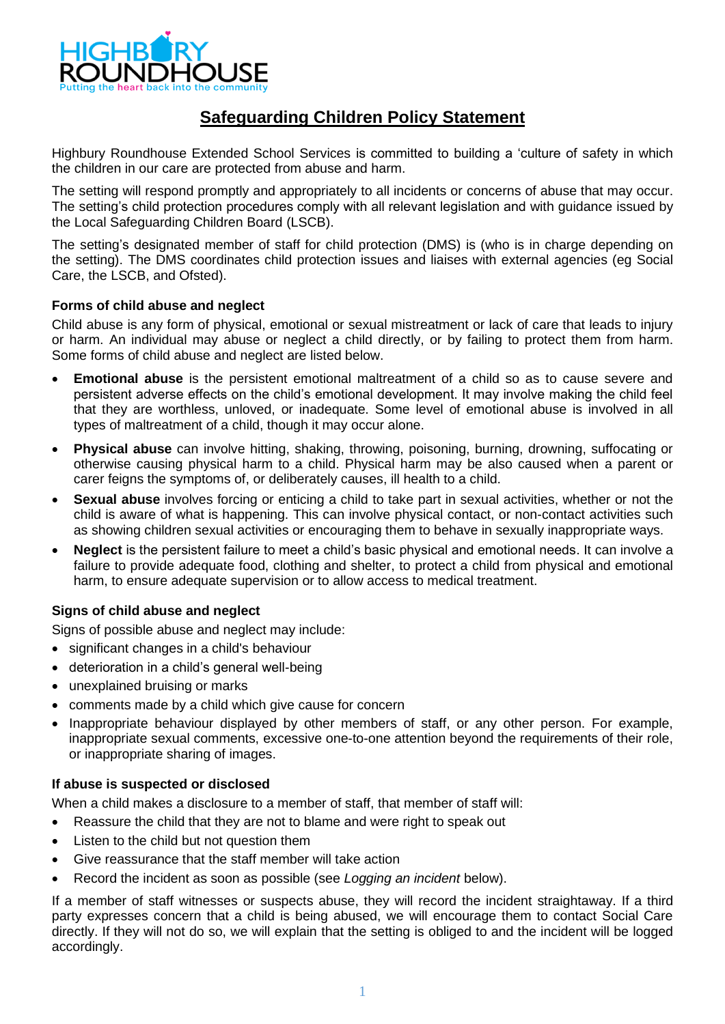

# **Safeguarding Children Policy Statement**

Highbury Roundhouse Extended School Services is committed to building a 'culture of safety in which the children in our care are protected from abuse and harm.

The setting will respond promptly and appropriately to all incidents or concerns of abuse that may occur. The setting's child protection procedures comply with all relevant legislation and with guidance issued by the Local Safeguarding Children Board (LSCB).

The setting's designated member of staff for child protection (DMS) is (who is in charge depending on the setting). The DMS coordinates child protection issues and liaises with external agencies (eg Social Care, the LSCB, and Ofsted).

#### **Forms of child abuse and neglect**

Child abuse is any form of physical, emotional or sexual mistreatment or lack of care that leads to injury or harm. An individual may abuse or neglect a child directly, or by failing to protect them from harm. Some forms of child abuse and neglect are listed below.

- **Emotional abuse** is the persistent emotional maltreatment of a child so as to cause severe and persistent adverse effects on the child's emotional development. It may involve making the child feel that they are worthless, unloved, or inadequate. Some level of emotional abuse is involved in all types of maltreatment of a child, though it may occur alone.
- **Physical abuse** can involve hitting, shaking, throwing, poisoning, burning, drowning, suffocating or otherwise causing physical harm to a child. Physical harm may be also caused when a parent or carer feigns the symptoms of, or deliberately causes, ill health to a child.
- **Sexual abuse** involves forcing or enticing a child to take part in sexual activities, whether or not the child is aware of what is happening. This can involve physical contact, or non-contact activities such as showing children sexual activities or encouraging them to behave in sexually inappropriate ways.
- **Neglect** is the persistent failure to meet a child's basic physical and emotional needs. It can involve a failure to provide adequate food, clothing and shelter, to protect a child from physical and emotional harm, to ensure adequate supervision or to allow access to medical treatment.

## **Signs of child abuse and neglect**

Signs of possible abuse and neglect may include:

- significant changes in a child's behaviour
- deterioration in a child's general well-being
- unexplained bruising or marks
- comments made by a child which give cause for concern
- Inappropriate behaviour displayed by other members of staff, or any other person. For example, inappropriate sexual comments, excessive one-to-one attention beyond the requirements of their role, or inappropriate sharing of images.

#### **If abuse is suspected or disclosed**

When a child makes a disclosure to a member of staff, that member of staff will:

- Reassure the child that they are not to blame and were right to speak out
- Listen to the child but not question them
- Give reassurance that the staff member will take action
- Record the incident as soon as possible (see *Logging an incident* below).

If a member of staff witnesses or suspects abuse, they will record the incident straightaway. If a third party expresses concern that a child is being abused, we will encourage them to contact Social Care directly. If they will not do so, we will explain that the setting is obliged to and the incident will be logged accordingly.